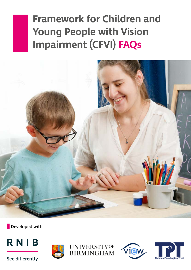# **Framework for Children and Young People with Vision Impairment (CFVI) FAQs**



Developed with



See differently







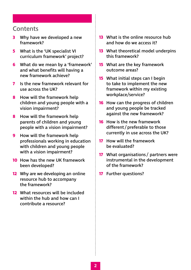### **Contents**

- **3** [Why have we developed a new](#page-2-0)  [framework?](#page-2-0)
- **5** [What is the 'UK specialist VI](#page-4-0)  [curriculum framework' project?](#page-4-0)
- **6** [What do we mean by a 'framework'](#page-5-0) [and what benefits will having a](#page-5-0)  [new framework achieve?](#page-5-0)
- **7** [Is the new framework relevant for](#page-6-0)  [use across the UK?](#page-6-0)
- **8** [How will the framework help](#page-7-0)  [children and young people with a](#page-7-0)  [vision impairment?](#page-7-0)
- **8** [How will the framework help](#page-7-0)  [parents of children and young](#page-7-0)  [people with a vision impairment?](#page-7-0)
- **9** How will the framework help [professionals working in education](#page-8-0)  [with children and young people](#page-8-0)  [with a vision impairment?](#page-8-0)
- **10** [How has the new UK framework](#page-9-0)  [been developed?](#page-9-0)
- **12** [Why are we developing an online](#page-11-0)  [resource hub to accompany](#page-11-0)  [the framework?](#page-11-0)
- **12** [What resources will be included](#page-11-0)  [within the hub and how can I](#page-11-0)  [contribute a resource?](#page-11-0)
- **13** [What is the online resource hub](#page-12-0)  [and how do we access it?](#page-12-0)
- **13** [What theoretical model underpins](#page-12-0)  [this framework?](#page-12-0)
- **15** [What are the key framework](#page-14-0)  [outcome areas?](#page-14-0)
- **15** [What initial steps can I begin](#page-14-0)  [to take to implement the new](#page-14-0)  [framework within my existing](#page-14-0)  [workplace/service?](#page-14-0)
- **16** [How can the progress of children](#page-15-0)  [and young people be tracked](#page-15-0)  [against the new framework?](#page-15-0)
- **16** [How is the new framework](#page-15-0)  different / preferable to those [currently in use across the UK?](#page-15-0)
- **17** [How will the framework](#page-16-0)  [be evaluated?](#page-16-0)
- **17** [What organisations](#page-16-0) / partners were [instrumental in the development](#page-16-0)  [of the framework?](#page-16-0)
- **17** [Further questions?](#page-16-0)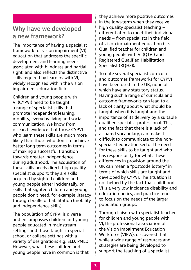### <span id="page-2-0"></span>Why have we developed a new framework?

The importance of having a specialist framework for vision impairment (VI) education that addresses the specific development and learning needs associated with blindness and partial sight, and also reflects the distinctive skills required by learners with VI, is widely recognised within the vision impairment education field.

Children and young people with VI (CYPVI) need to be taught a range of specialist skills that promote independent learning, mobility, everyday living and social communication. We know from research evidence that those CYPVI who learn these skills are much more likely than those who don't to achieve better long term outcomes in terms of making a successful transition towards greater independence during adulthood. The acquisition of these skills needs direct, high quality specialist support; they are skills acquired by sighted children and young people either incidentally, or skills that sighted children and young people don't need, for example literacy through braille or habilitation (mobility and independence skills).

The population of CYPVI is diverse and encompasses children and young people educated in mainstream settings and those taught in special school or college settings with a variety of designations e.g. SLD, PMLD. However, what these children and young people have in common is that they achieve more positive outcomes in the long-term when they receive high quality specialist teaching – differentiated to meet their individual needs – from specialists in the field of vision impairment education (i.e. Qualified teacher for children and young people with VI (QTVI) and Registered Qualified Habilitation Specialist (RQHS)).

To date several specialist curricula and outcomes frameworks for CYPVI have been used in the UK, none of which have any statutory status. Having such a range of curricula and outcome frameworks can lead to a lack of clarity about what should be taught, when it is taught and the importance of its delivery by a suitable qualified specialist professional. This, and the fact that there is a lack of a shared vocabulary, can make it difficult to communicate to the nonspecialist education sector the need for these skills to be taught and who has responsibility for what. These differences in provision around the UK can mean a "postcode lottery" in terms of which skills are taught and developed by CYPVI. The situation is not helped by the fact that childhood VI is a very low incidence disability and education policy, and practice tends to focus on the needs of the larger population groups.

Through liaison with specialist teachers for children and young people with VI, the professional association of the Vision Impairment Education Workforce (VIEW), discovered that while a wide range of resources and strategies are being developed to support the teaching of a specialist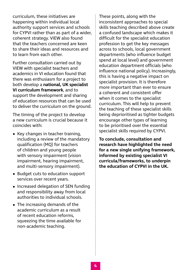curriculum, these initiatives are happening within individual local authority support services and schools for CYPVI rather than as part of a wider, coherent strategy. VIEW also found that the teachers concerned are keen to share their ideas and resources and to learn from each other.

Further consultation carried out by VIEW with specialist teachers and academics in VI education found that there was enthusiasm for a project to both develop a **national, UK specialist VI curriculum framework**, and to support the development and sharing of education resources that can be used to deliver the curriculum on the ground.

The timing of the project to develop a new curriculum is crucial because it coincides with:

- **•** Key changes in teacher training, including a review of the mandatory qualification (MQ) for teachers of children and young people with sensory impairment (vision impairment, hearing impairment, and multi-sensory impairment).
- **•** Budget cuts to education support services over recent years.
- **•** Increased delegation of SEN funding and responsibility away from local authorities to individual schools.
- **•** The increasing demands of the academic curriculum as a result of recent education reforms, squeezing the time available for non-academic teaching.

These points, along with the inconsistent approaches to special skills teaching described above create a confused landscape which makes it difficult for the specialist education profession to get the key messages across to schools, local government departments (who influence budget spend at local level) and government education department officials (who influence national policy). Increasingly, this is having a negative impact on specialist provision. It is therefore more important than ever to ensure a coherent and consistent offer when it comes to the specialist curriculum. This will help to prevent the teaching of these specialist skills being deprioritised as tighter budgets encourage other types of learning to be prioritised over the essential specialist skills required by CYPVI.

**To conclude, consultation and research have highlighted the need for a new single unifying framework, informed by existing specialist VI curricula/frameworks, to underpin the education of CYPVI in the UK.**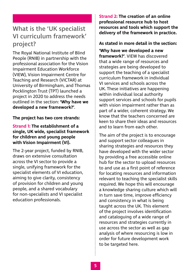### <span id="page-4-0"></span>What is the 'UK specialist VI curriculum framework' project?

The Royal National Institute of Blind People (RNIB) in partnership with the professional association for the Vision Impairment Education Workforce (VIEW), Vision Impairment Centre for Teaching and Research (VICTAR) at University of Birmingham, and Thomas Pocklington Trust (TPT) launched a project in 2020 to address the needs outlined in the section: **'Why have we developed a new framework?'**.

#### **The project has two core strands:**

#### **Strand 1: The establishment of a single, UK wide, specialist framework for children and young people with Vision Impairment (VI).**

The 2-year project, funded by RNIB, draws on extensive consultation across the VI sector to provide a single, unifying framework for the specialist elements of VI education, aiming to give clarity, consistency of provision for children and young people, and a shared vocabulary for non-specialists and VI specialist education professionals.

**Strand 2: The creation of an online professional resource hub to host resources and tools which support the delivery of the framework in practice.**

#### **As stated in more detail in the section:**

**'Why have we developed a new framework?'**. VIEW has discovered that a wide range of resources and strategies are being developed to support the teaching of a specialist curriculum framework in individual VI services and schools across the UK. These initiatives are happening within individual local authority support services and schools for pupils with vision impairment rather than as part of a wider, coherent strategy. We know that the teachers concerned are keen to share their ideas and resources and to learn from each other.

The aim of the project is to encourage and support sector colleagues in sharing strategies and resources they have developed with the wider sector by providing a free accessible online hub for the sector to upload resources to and use as a first point of reference for locating resources and information relevant to teaching the specialist skills required. We hope this will encourage a knowledge sharing culture which will in turn save time, improve efficiency and consistency in what is being taught across the UK. This element of the project involves identification and cataloguing of a wide range of resources and strategies currently in use across the sector as well as gap analysis of where resourcing is low in order for future development work to be targeted here.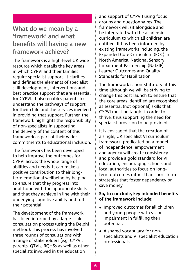### <span id="page-5-0"></span>What do we mean by a 'framework' and what benefits will having a new framework achieve?

The framework is a high-level UK wide resource which details the key areas in which CYPVI and their families require specialist support. It clarifies and defines the elements of specialist skill development, interventions and best practice support that are essential for CYPVI. It also enables parents to understand the pathways of support for their child and the services involved in providing that support. Further, the framework highlights the responsibility of non-specialists in supporting the delivery of the content of this framework as part of their wider commitments to educational inclusion.

The framework has been developed to help improve the outcomes for CYPVI across the whole range of abilities and needs. It can make a positive contribution to their longterm emotional wellbeing by helping to ensure that they progress into adulthood with the appropriate skills and that they achieve in line with their underlying cognitive ability and fulfil their potential.

The development of the framework has been informed by a large-scale consultation process (using the Delphi method). This process has involved three rounds of consultations with a range of stakeholders (e.g. CYPVI, parents, QTVIs, RQHSs as well as other specialists involved in the education

and support of CYPVI) using focus groups and questionnaires. The framework will sit alongside and be integrated with the academic curriculum to which all children are entitled. It has been informed by existing frameworks including, the Expanded Core Curriculum (ECC) in North America, National Sensory Impairment Partnership (NatSIP) Learner Outcomes and Quality Standards for Habilitation.

The framework is non-statutory at this time although we will be striving to change this post launch to ensure that the core areas identified are recognised as essential (not optional) skills that CYPVI must be taught in order to thrive, thus supporting the need for specialist provision to be provided.

It is envisaged that the creation of a single, UK specialist VI curriculum framework, predicated on a model of independence, empowerment and agency will create consistency and provide a gold standard for VI education, encouraging schools and local authorities to focus on longterm outcomes rather than short-term strategies that foster dependency or save money.

#### **So, to conclude, key intended benefits of the framework include:**

- **•** Improved outcomes for all children and young people with vision impairment in fulfilling their potential.
- **•** A shared vocabulary for nonspecialists and VI specialist education professionals.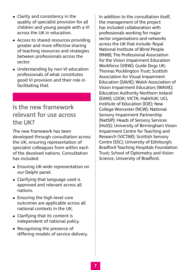- <span id="page-6-0"></span>**•** Clarity and consistency in the quality of specialist provision for all children and young people with a VI across the UK in education.
- **•** Access to shared resources providing greater and more effective sharing of teaching resources and strategies between professionals across the sector.
- **•** Understanding by non-VI education professionals of what constitutes good VI provision and their role in facilitating that.

### Is the new framework relevant for use across the UK?

The new framework has been developed through consultation across the UK, ensuring representation of specialist colleagues from within each of the devolved nations. Consultation has included:

- **•** Ensuring UK-wide representation on our Delphi panel.
- **•** Clarifying that language used is approved and relevant across all nations.
- **•** Ensuring the high-level core outcomes are applicable across all national contexts in the UK.
- **•** Clarifying that its content is independent of national policy.
- **•** Recognising the presence of differing models of service delivery.

In addition to the consultation itself, the management of the project has included collaboration with professionals working for major sector organisations and networks across the UK that include: Royal National Institute of Blind People (RNIB); The Professional Association for the Vision Impairment Education Workforce (VIEW); Guide Dogs UK; Thomas Pocklington Trust; Scottish Association for Visual Impairment Education (SAVIE); Welsh Association of Vision Impairment Educators (WAVIE); Education Authority Northern Ireland (EANI); LOOK; VICTA; HabVIUK; UCL Institute of Education (IOE); New College Worcester (NCW); National Sensory Impairment Partnership (NatSIP); Heads of Sensory Services (HoSS); University of Birmingham Vision Impairment Centre for Teaching and Research (VICTAR); Scottish Sensory Centre (SSC); University of Edinburgh; Bradford Teaching Hospitals Foundation Trust; School of Optometry and Vision Science, University of Bradford.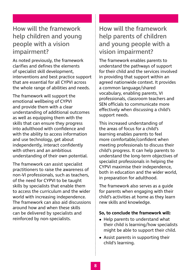### <span id="page-7-0"></span>How will the framework help children and young people with a vision impairment?

As noted previously, the framework clarifies and defines the elements of specialist skill development, interventions and best practice support that are essential for all CYPVI across the whole range of abilities and needs.

The framework will support the emotional wellbeing of CYPVI and provide them with a clear understanding of additional outcomes as well as equipping them with the skills that can ensure they progress into adulthood with confidence and with the ability to access information and use technology, get about independently, interact confidently with others and an ambitious understanding of their own potential.

The framework can assist specialist practitioners to raise the awareness of non-VI professionals, such as teachers, of the need for CYPVI to be taught skills by specialists that enable them to access the curriculum and the wider world with increasing independence. The framework can also aid discussions around how and when these skills can be delivered by specialists and reinforced by non-specialists.

### How will the framework help parents of children and young people with a vision impairment?

The framework enables parents to understand the pathways of support for their child and the services involved in providing that support within an agreed nationwide context. It provides a common language/shared vocabulary, enabling parents, VI professionals, classroom teachers and SEN officials to communicate more effectively when discussing a child's support needs.

This increased understanding of the areas of focus for a child's learning enables parents to feel more comfortable/confident when meeting professionals to discuss their child's progress. It can help parents to understand the long-term objectives of specialist professionals in helping the CYPVI maximise their independence, both in education and the wider world, in preparation for adulthood.

The framework also serves as a guide for parents when engaging with their child's activities at home as they learn new skills and knowledge.

#### **So, to conclude the framework will:**

- **•** Help parents to understand what their child is learning/how specialists might be able to support their child.
- **•** Assist parents in supporting their child's learning.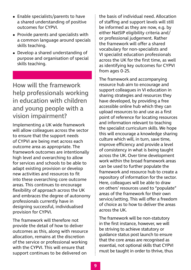- <span id="page-8-0"></span>**•** Enable specialists/parents to have a shared understanding of positive outcomes for CYPVI.
- **•** Provide parents and specialists with a common language around specials skills teaching.
- **•** Develop a shared understanding of purpose and organisation of special skills teaching.

How will the framework help professionals working in education with children and young people with a vision impairment?

Implementing a UK wide framework will allow colleagues across the sector to ensure that the support needs of CYPVI are being met across each outcome area as appropriate. The framework outcomes are intentionally high level and overarching to allow for services and schools to be able to adapt existing provision or develop new activities and resources to fit into these overarching core outcome areas. This continues to encourage flexibility of approach across the UK and embraces the degree of autonomy professionals currently have in designing successful, individualised provision for CYPVI.

The framework will therefore not provide the detail of how to deliver outcomes as this, along with resource allocation, remains at the discretion of the service or professional working with the CYPVI. This will ensure that support continues to be delivered on

the basis of individual need. Allocation of staffing and support levels will still be informed as they are now, e.g. by either NatSIP eligibility criteria and/ or professional judgement. Rather the framework will offer a shared vocabulary for non-specialists and VI specialist education professionals across the UK for the first time, as well as identifying key outcomes for CYPVI from ages 0-25.

The framework and accompanying resource hub aim to encourage and support colleagues in VI education in sharing strategies and resources they have developed, by providing a free accessible online hub which they can upload resources to and use as a first point of reference for locating resources and information relevant to teaching the specialist curriculum skills. We hope this will encourage a knowledge sharing culture which will, in turn, save time, improve efficiency and provide a level of consistency in what is being taught across the UK. Over time development work within the broad framework areas can be used to further populate the framework and resource hub to create a repository of information for the sector. Here, colleagues will be able to draw on others' resources used to "populate" areas of the framework for their own service/setting. This will offer a freedom of choice as to how to deliver the areas across the UK.

The framework will be non-statutory in the first instance, however, we will be striving to achieve statutory or guidance status post launch to ensure that the core areas are recognised as essential, not optional skills that CYPVI must be taught in order to thrive, thus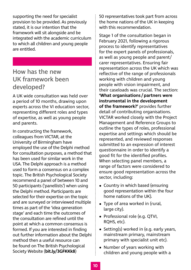<span id="page-9-0"></span>supporting the need for specialist provision to be provided. As previously stated, it is our intention that the framework will sit alongside and be integrated with the academic curriculum to which all children and young people are entitled.

### How has the new UK framework been developed?

A UK wide consultation was held over a period of 10 months, drawing upon experts across the VI education sector, representing different roles and types of expertise, as well as young people and parents.

In constructing the framework, colleagues from VICTAR, at the University of Birmingham have employed the use of the Delphi method for consultation purposes, a method that has been used for similar work in the USA. The Delphi approach is a method used to form a consensus on a complex topic. The British Psychological Society recommend a panel of between 10 and 50 participants ('panellists') when using the Delphi method. Participants are selected for their expertise on the topic and are surveyed or interviewed multiple times as part of the 'idea generation stage' and each time the outcomes of the consultation are refined until the point at which a common consensus is formed. If you are interested in finding out further information about the Delphi method then a useful resource can be found on The British Psychological Society Website (**[bit.ly/3GFKKk8](https://bit.ly/3GFKKk8)**)

50 representatives took part from across the home nations of the UK in keeping with this recommendation.

Stage 1 of the consultation began in February 2021, following a rigorous process to identify representatives for the expert panels of professionals, as well as young people and parent/ carer representatives. Ensuring fair representation across the UK which was reflective of the range of professionals working with children and young people with vision impairment, and their caseloads was crucial. The section: **'What organisations /partners were instrumental in the development of the framework?'** provides further detail of contributing organisations. VICTAR worked closely with the Project Management and Reference Groups to outline the types of roles, professional expertise and settings which should be represented, and reviewed responses submitted to an expression of interest questionnaire in order to identify a good fit for the identified profiles. When selecting panel members, a range of factors were considered to ensure good representation across the sector, including:

- **•** Country in which based (ensuring good representation within the four home nations of the UK).
- **•** Type of area worked in (rural, large city).
- **•** Professional role (e.g. QTVI, RQHS, etc).
- **•** Setting(s) worked in (e.g. early years, mainstream primary, mainstream primary with specialist unit etc).
- **•** Number of years working with children and young people with a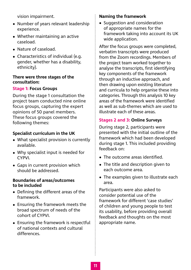vision impairment.

- **•** Number of years relevant leadership experience.
- **•** Whether maintaining an active caseload.
- **•** Nature of caseload.
- **•** Characteristics of individual (e.g. gender, whether has a disability, ethnicity).

#### **There were three stages of the consultation:**

#### **Stage 1: Focus Groups**

During the stage 1 consultation the project team conducted nine online focus groups, capturing the expert opinions of 50 panel members. These focus groups covered the following themes:

#### **Specialist curriculum in the UK**

- **•** What specialist provision is currently available.
- **•** Why specialist input is needed for CYPVI.
- **•** Gaps in current provision which should be addressed.

#### **Boundaries of areas/outcomes to be included**

- **•** Defining the different areas of the framework.
- **•** Ensuring the framework meets the broad spectrum of needs of the cohort of CYPVI.
- **•** Ensuring the framework is respectful of national contexts and cultural differences.

#### **Naming the framework**

**•** Suggestion and consideration of appropriate names for the framework taking into account its UK wide application.

After the focus groups were completed, verbatim transcripts were produced from the Zoom recordings. Members of the project team worked together to analyse the transcripts, first identifying key components of the framework through an inductive approach, and then drawing upon existing literature and curricula to help organise these into categories. Through this analysis 10 key areas of the framework were identified as well as sub-themes which are used to illustrate each of these areas.

#### **Stages 2 and 3: Online Surveys**

During stage 2, participants were presented with the initial outline of the framework which had been developed during stage 1. This included providing feedback on:

- **•** The outcome areas identified.
- **•** The title and description given to each outcome area.
- **•** The examples given to illustrate each area.

Participants were also asked to consider potential use of the framework for different 'case studies' of children and young people to test its usability, before providing overall feedback and thoughts on the most appropriate name.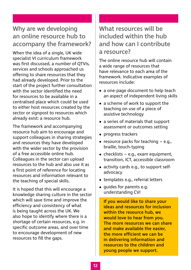### <span id="page-11-0"></span>Why are we developing an online resource hub to accompany the framework?

When the idea of a single, UK wide specialist VI curriculum framework was first discussed, a number of QTVIs, services and schools approached us offering to share resources that they had already developed. Prior to the start of the project further consultation with the sector identified the need for resources to be available in a centralised place which could be used to either host resources created by the sector or signpost to resources which already exist: a resource hub.

The framework and accompanying resource hub aim to encourage and support colleagues in sharing strategies and resources they have developed with the wider sector by the provision of a free accessible online hub. Colleagues in the sector can upload resources to the hub and also use it as a first point of reference for locating resources and information relevant to the teaching of special skills.

It is hoped that this will encourage a knowledge sharing culture in the sector which will save time and improve the efficiency and consistency of what is being taught across the UK. We also hope to identify where there is a shortage of certain resources, e.g. in specific outcome areas, and over time to encourage development of new resources to fill the gaps.

### What resources will be included within the hub and how can I contribute a resource?

The online resource hub will contain a wide range of resources that have relevance to each area of the framework. Indicative examples of resources include:

- **•** a one-page document to help teach an aspect of independent living skills
- **•** a scheme of work to support the teaching on use of a piece of assistive technology
- **•** a series of materials that support assessment or outcomes setting
- **•** progress trackers
- **•** resource packs for teaching e.g., braille, touch-typing
- **•** checklists e.g., exam equipment, transition, ICT, accessible classroom
- **•** activity cards e.g., to support selfadvocacy
- **•** templates e.g., referral letters
- **•** guides for parents e.g. understanding CVI

If you would like to share your ideas and resources for inclusion within the resource hub, we would love to hear from you. The more resources we can share and make available the easier, the more efficient we can be in delivering information and resources to the children and young people we support.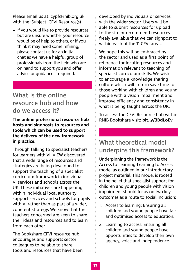<span id="page-12-0"></span>Please email us at: [cypf@rnib.org.uk](mailto:cypf@rnib.org.uk) with the 'Subject' CFVI Resource(s).

**•** If you would like to provide resources but are unsure whether your resource would be of help to others, or if you think it may need some refining, please contact us for an initial chat as we have a helpful group of professionals from the field who are on hand to support you and offer advice or guidance if required.

### What is the online resource hub and how do we access it?

**The online professional resource hub hosts and signposts to resources and tools which can be used to support the delivery of the new framework in practice.** 

Through talking to specialist teachers for learners with VI, VIEW discovered that a wide range of resources and strategies are being developed to support the teaching of a specialist curriculum framework in individual VI services and schools across the UK. These initiatives are happening within individual local authority support services and schools for pupils with VI rather than as part of a wider, coherent strategy. We know that the teachers concerned are keen to share their ideas and resources and to learn from each other.

The Bookshare CFVI resource hub encourages and supports sector colleagues to be able to share tools and resources that have been

developed by individuals or services, with the wider sector. Users will be able to submit resources for upload to the site or recommend resources freely available that we can signpost to within each of the 11 CFVI areas.

We hope this will be embraced by the sector and used as a first point of reference for locating resources and information relevant to teaching of specialist curriculum skills. We wish to encourage a knowledge sharing culture which will in turn save time for those working with children and young people with a vision impairment and improve efficiency and consistency in what is being taught across the UK.

To access the CFVI Resource hub within RNIB Bookshare visit: **[bit.ly/3BdLoEv](https://bit.ly/3BdLoEv)**

### What theoretical model underpins this framework?

Underpinning the framework is the Access to Learning-Learning to Access model as outlined in our introductory project material. This model is rooted in the belief that specialist support for children and young people with vision impairment should focus on two key outcomes as a route to social inclusion:

- 1. Access to learning: Ensuring all children and young people have fair and optimised access to education.
- 2. Learning to access: Ensuring all children and young people have opportunities to develop their own agency, voice and independence.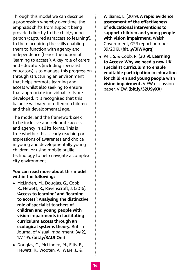Through this model we can describe a progression whereby over time, the emphasis shifts from support being provided directly to the child/young person (captured as 'access to learning'), to them acquiring the skills enabling them to function with agency and independence (hence the notion of 'learning to access'). A key role of carers and educators (including specialist educators) is to manage this progression through structuring an environment that helps promote learning and access whilst also seeking to ensure that appropriate individual skills are developed. It is recognised that this balance will vary for different children and their developmental age.

The model and the framework seek to be inclusive and celebrate access and agency in all its forms. This is true whether this is early reaching or expressions of awareness and choice in young and developmentally young children, or using mobile braille technology to help navigate a complex city environment.

#### **You can read more about this model within the following:**

- **•** McLinden, M., Douglas, G., Cobb, R., Hewett, R., Ravenscroft, J. (2016). **'Access to learning' and 'learning to access': Analysing the distinctive role of specialist teachers of children and young people with vision impairments in facilitating curriculum access through an ecological systems theory.** British Journal of Visual Impairment, 34(2), 177-195. (**[bit.ly/3AUhOni](https://bit.ly/3AUhOni)**)
- **•** Douglas, G., McLinden, M., Ellis, E., Hewett, R., Wooten, A., Ware, J., &

Williams, L. (2019). **A rapid evidence assessment of the effectiveness of educational interventions to support children and young people with vision impairment.** Welsh Government, GSR report number 39/2019. (**[bit.ly/3IWKgrq](https://bit.ly/3IWKgrq)**)

**•** Keil, S. & Cobb, R. (2019). **Learning to Access: Why we need a new UK specialist curriculum to enable equitable participation in education for children and young people with vision impairment.** VIEW discussion paper. VIEW. (**[bit.ly/32U9yXX](https://bit.ly/32U9yXX)**)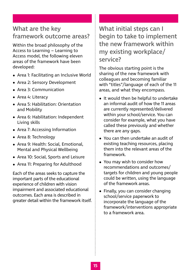### <span id="page-14-0"></span>What are the key framework outcome areas?

Within the broad philosophy of the Access to Learning – Learning to Access model, the following eleven areas of the framework have been developed:

- **•** Area 1: Facilitating an Inclusive World
- **•** Area 2: Sensory Development
- **•** Area 3: Communication
- **•** Area 4: Literacy
- **•** Area 5: Habilitation: Orientation and Mobility
- **•** Area 6: Habilitation: Independent Living skills
- **•** Area 7: Accessing Information
- **•** Area 8: Technology
- **•** Area 9: Health: Social, Emotional, Mental and Physical Wellbeing
- **•** Area 10: Social, Sports and Leisure
- **•** Area 11: Preparing for Adulthood

Each of the areas seeks to capture the important parts of the educational experience of children with vision impairment and associated educational outcomes. Each area is described in greater detail within the framework itself. What initial steps can I begin to take to implement the new framework within my existing workplace/ service?

The obvious starting point is the sharing of the new framework with colleagues and becoming familiar with "titles"/language of each of the 11 areas, and what they encompass.

- **•** It would then be helpful to undertake an informal audit of how the 11 areas are currently represented/delivered within your school/service. You can consider for example, what you have called these previously and whether there are any gaps.
- **•** You can then undertake an audit of existing teaching resources, placing them into the relevant areas of the framework.
- **•** You may wish to consider how recommendations and outcomes/ targets for children and young people could be written, using the language of the framework areas.
- **•** Finally, you can consider changing school/service paperwork to incorporate the language of the framework/interventions appropriate to a framework area.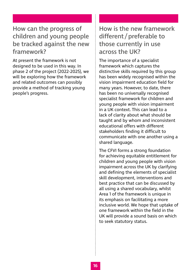### <span id="page-15-0"></span>How can the progress of children and young people be tracked against the new framework?

At present the framework is not designed to be used in this way. In phase 2 of the project (2022-2025), we will be exploring how the framework and related outcomes can possibly provide a method of tracking young people's progress.

### How is the new framework different/preferable to those currently in use across the UK?

The importance of a specialist framework which captures the distinctive skills required by this group has been widely recognised within the vision impairment education field for many years. However, to date, there has been no universally recognised specialist framework for children and young people with vision impairment in a UK context. This can lead to a lack of clarity about what should be taught and by whom and inconsistent educational offers with different stakeholders finding it difficult to communicate with one another using a shared language.

The CFVI forms a strong foundation for achieving equitable entitlement for children and young people with vision impairment across the UK by clarifying and defining the elements of specialist skill development, interventions and best practice that can be discussed by all using a shared vocabulary, whilst Area 1 of the framework is unique in its emphasis on facilitating a more inclusive world. We hope that uptake of one framework within the field in the UK will provide a sound basis on which to seek statutory status.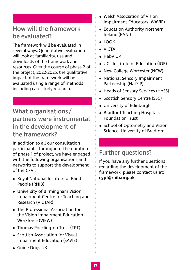### <span id="page-16-0"></span>How will the framework be evaluated?

The framework will be evaluated in several ways. Quantitative evaluation will look at familiarity, use and downloads of the framework and resources. Over the course of phase 2 of the project, 2022-2025, the qualitative impact of the framework will be evaluated using a range of methods including case study research.

What organisations/ partners were instrumental in the development of the framework?

In addition to all our consultation participants, throughout the duration of phase 1 of project, we have engaged with the following organisations and networks to support the development of the CFVI:

- **•** Royal National Institute of Blind People (RNIB)
- **•** University of Birmingham Vision Impairment Centre for Teaching and Research (VICTAR)
- **•** The Professional Association for the Vision Impairment Education Workforce (VIEW)
- **•** Thomas Pocklington Trust (TPT)
- **•** Scottish Association for Visual Impairment Education (SAVIE)
- **•** Guide Dogs UK
- **•** Welsh Association of Vision Impairment Educators (WAVIE)
- **•** Education Authority Northern Ireland (EANI)
- **•** LOOK
- **•** VICTA
- **•** HabVIUK
- **•** UCL Institute of Education (IOE)
- **•** New College Worcester (NCW)
- **•** National Sensory Impairment Partnership (NatSIP)
- **•** Heads of Sensory Services (HoSS)
- **•** Scottish Sensory Centre (SSC)
- **•** University of Edinburgh
- **•** Bradford Teaching Hospitals Foundation Trust
- **•** School of Optometry and Vision Science, University of Bradford.

### Further questions?

If you have any further questions regarding the development of the framework, please contact us at: **[cypf@rnib.org.uk](mailto:cypf%40rnib.org.uk?subject=)**